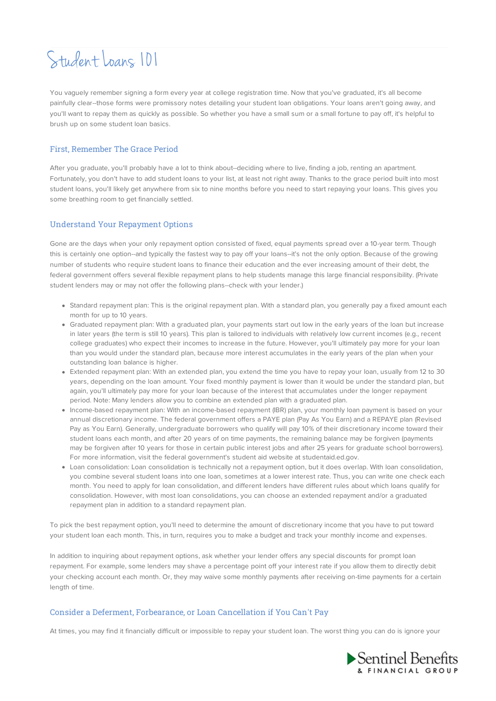# Student Loans 101

You vaguely remember signing a form every year at college registration time. Now that you've graduated, it's all become painfully clear--those forms were promissory notes detailing your student loan obligations. Your loans aren't going away, and you'll want to repay them as quickly as possible. So whether you have a small sum or a small fortune to pay off, it's helpful to brush up on some student loan basics.

## First, Remember The Grace Period

After you graduate, you'll probably have a lot to think about--deciding where to live, finding a job, renting an apartment. Fortunately, you don't have to add student loans to your list, at least not right away. Thanks to the grace period built into most student loans, you'll likely get anywhere from six to nine months before you need to start repaying your loans. This gives you some breathing room to get financially settled.

## Understand Your Repayment Options

Gone are the days when your only repayment option consisted of fixed, equal payments spread over a 10-year term. Though this is certainly one option--and typically the fastest way to pay off your loans--it's not the only option. Because of the growing number of students who require student loans to finance their education and the ever increasing amount of their debt, the federal government offers several flexible repayment plans to help students manage this large financial responsibility. (Private student lenders may or may not offer the following plans--check with your lender.)

- Standard repayment plan: This is the original repayment plan. With a standard plan, you generally pay a fixed amount each month for up to 10 years.
- Graduated repayment plan: With a graduated plan, your payments start out low in the early years of the loan but increase in later years (the term is still 10 years). This plan is tailored to individuals with relatively low current incomes (e.g., recent college graduates) who expect their incomes to increase in the future. However, you'll ultimately pay more for your loan than you would under the standard plan, because more interest accumulates in the early years of the plan when your outstanding loan balance is higher.
- Extended repayment plan: With an extended plan, you extend the time you have to repay your loan, usually from 12 to 30 years, depending on the loan amount. Your fixed monthly payment is lower than it would be under the standard plan, but again, you'll ultimately pay more for your loan because of the interest that accumulates under the longer repayment period. Note: Many lenders allow you to combine an extended plan with a graduated plan.
- Income-based repayment plan: With an income-based repayment (IBR) plan, your monthly loan payment is based on your annual discretionary income. The federal government offers a PAYE plan (Pay As You Earn) and a REPAYE plan (Revised Pay as You Earn). Generally, undergraduate borrowers who qualify will pay 10% of their discretionary income toward their student loans each month, and after 20 years of on time payments, the remaining balance may be forgiven (payments may be forgiven after 10 years for those in certain public interest jobs and after 25 years for graduate school borrowers). For more information, visit the federal government's student aid website at studentaid.ed.gov.
- Loan consolidation: Loan consolidation is technically not a repayment option, but it does overlap. With loan consolidation, you combine several student loans into one loan, sometimes at a lower interest rate. Thus, you can write one check each month. You need to apply for loan consolidation, and different lenders have different rules about which loans qualify for consolidation. However, with most loan consolidations, you can choose an extended repayment and/or a graduated repayment plan in addition to a standard repayment plan.

To pick the best repayment option, you'll need to determine the amount of discretionary income that you have to put toward your student loan each month. This, in turn, requires you to make a budget and track your monthly income and expenses.

In addition to inquiring about repayment options, ask whether your lender offers any special discounts for prompt loan repayment. For example, some lenders may shave a percentage point off your interest rate if you allow them to directly debit your checking account each month. Or, they may waive some monthly payments after receiving on-time payments for a certain length of time.

#### Consider a Deferment, Forbearance, or Loan Cancellation if You Can't Pay

At times, you may find it financially difficult or impossible to repay your student loan. The worst thing you can do is ignore your

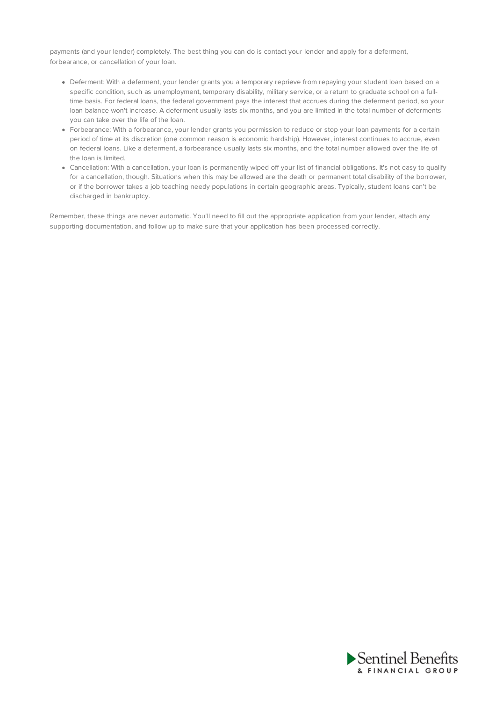payments (and your lender) completely. The best thing you can do is contact your lender and apply for a deferment, forbearance, or cancellation of your loan.

- Deferment: With a deferment, your lender grants you a temporary reprieve from repaying your student loan based on a specific condition, such as unemployment, temporary disability, military service, or a return to graduate school on a fulltime basis. For federal loans, the federal government pays the interest that accrues during the deferment period, so your loan balance won't increase. A deferment usually lasts six months, and you are limited in the total number of deferments you can take over the life of the loan.
- Forbearance: With a forbearance, your lender grants you permission to reduce or stop your loan payments for a certain period of time at its discretion (one common reason is economic hardship). However, interest continues to accrue, even on federal loans. Like a deferment, a forbearance usually lasts six months, and the total number allowed over the life of the loan is limited.
- Cancellation: With a cancellation, your loan is permanently wiped off your list of financial obligations. It's not easy to qualify for a cancellation, though. Situations when this may be allowed are the death or permanent total disability of the borrower, or if the borrower takes a job teaching needy populations in certain geographic areas. Typically, student loans can't be discharged in bankruptcy.

Remember, these things are never automatic. You'll need to fill out the appropriate application from your lender, attach any supporting documentation, and follow up to make sure that your application has been processed correctly.